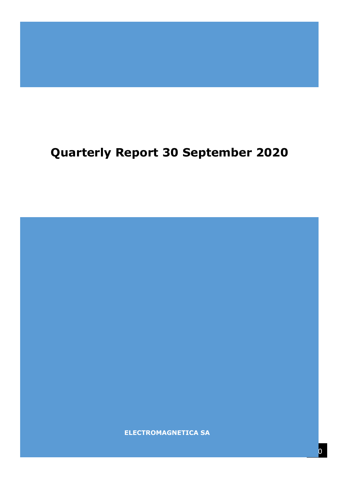# **Quarterly Report 30 September 2020**

**ELECTROMAGNETICA SA**

**ELECTROMAGNETICA SA**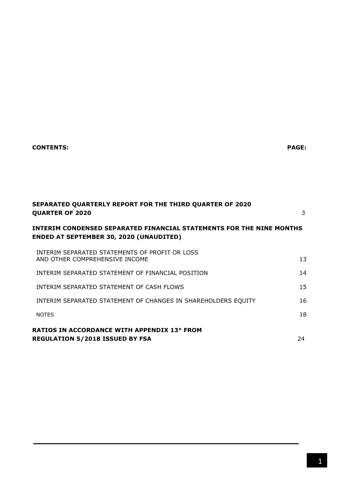# **CONTENTS: PAGE:**

| SEPARATED QUARTERLY REPORT FOR THE THIRD QUARTER OF 2020<br><b>QUARTER OF 2020</b>                                            | 3  |  |  |  |  |  |
|-------------------------------------------------------------------------------------------------------------------------------|----|--|--|--|--|--|
| <b>INTERIM CONDENSED SEPARATED FINANCIAL STATEMENTS FOR THE NINE MONTHS</b><br><b>ENDED AT SEPTEMBER 30, 2020 (UNAUDITED)</b> |    |  |  |  |  |  |
| INTERIM SEPARATED STATEMENTS OF PROFIT OR LOSS<br>AND OTHER COMPREHENSIVE INCOME                                              | 13 |  |  |  |  |  |
| INTERIM SEPARATED STATEMENT OF FINANCIAL POSITION                                                                             | 14 |  |  |  |  |  |
| INTERIM SEPARATED STATEMENT OF CASH FLOWS                                                                                     | 15 |  |  |  |  |  |
| INTERIM SEPARATED STATEMENT OF CHANGES IN SHAREHOLDERS EQUITY                                                                 | 16 |  |  |  |  |  |
| <b>NOTES</b>                                                                                                                  | 18 |  |  |  |  |  |
| <b>RATIOS IN ACCORDANCE WITH APPENDIX 13° FROM</b><br><b>REGULATION 5/2018 ISSUED BY FSA</b>                                  | 24 |  |  |  |  |  |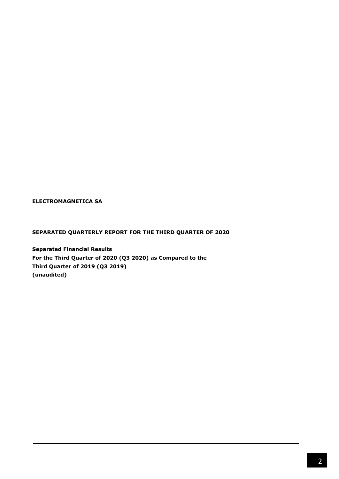**ELECTROMAGNETICA SA**

## **SEPARATED QUARTERLY REPORT FOR THE THIRD QUARTER OF 2020**

**Separated Financial Results For the Third Quarter of 2020 (Q3 2020) as Compared to the Third Quarter of 2019 (Q3 2019) (unaudited)**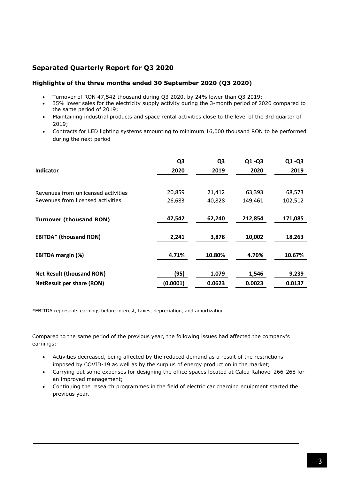# **Separated Quarterly Report for Q3 2020**

## **Highlights of the three months ended 30 September 2020 (Q3 2020)**

- Turnover of RON 47,542 thousand during Q3 2020, by 24% lower than Q3 2019;
- 35% lower sales for the electricity supply activity during the 3-month period of 2020 compared to the same period of 2019;
- Maintaining industrial products and space rental activities close to the level of the 3rd quarter of 2019;
- Contracts for LED lighting systems amounting to minimum 16,000 thousand RON to be performed during the next period

| Indicator                           | Q <sub>3</sub><br>2020 | Q <sub>3</sub><br>2019 | $Q1 - Q3$<br>2020 | $Q1 - Q3$<br>2019 |
|-------------------------------------|------------------------|------------------------|-------------------|-------------------|
|                                     |                        |                        |                   |                   |
| Revenues from unlicensed activities | 20,859                 | 21,412                 | 63,393            | 68,573            |
| Revenues from licensed activities   | 26,683                 | 40,828                 | 149,461           | 102,512           |
| <b>Turnover (thousand RON)</b>      | 47,542                 | 62,240                 | 212,854           | 171,085           |
| <b>EBITDA*</b> (thousand RON)       | 2,241                  | 3,878                  | 10,002            | 18,263            |
| <b>EBITDA margin (%)</b>            | 4.71%                  | 10.80%                 | 4.70%             | 10.67%            |
| <b>Net Result (thousand RON)</b>    | (95)                   | 1,079                  | 1,546             | 9,239             |
| <b>NetResult per share (RON)</b>    | (0.0001)               | 0.0623                 | 0.0023            | 0.0137            |

\*EBITDA represents earnings before interest, taxes, depreciation, and amortization.

Compared to the same period of the previous year, the following issues had affected the company's earnings:

- Activities decreased, being affected by the reduced demand as a result of the restrictions imposed by COVID-19 as well as by the surplus of energy production in the market;
- Carrying out some expenses for designing the office spaces located at Calea Rahovei 266-268 for an improved management;
- Continuing the research programmes in the field of electric car charging equipment started the previous year.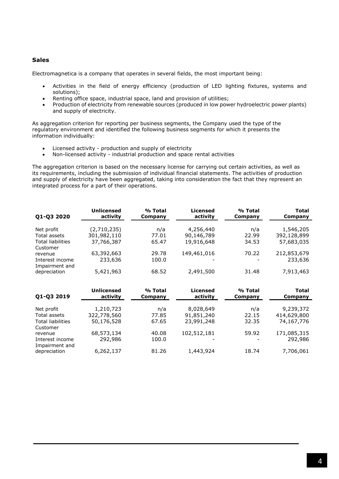## **Sales**

Electromagnetica is a company that operates in several fields, the most important being:

- Activities in the field of energy efficiency (production of LED lighting fixtures, systems and solutions);
- Renting office space, industrial space, land and provision of utilities;
- Production of electricity from renewable sources (produced in low power hydroelectric power plants) and supply of electricity.

As aggregation criterion for reporting per business segments, the Company used the type of the regulatory environment and identified the following business segments for which it presents the information individually:

- Licensed activity production and supply of electricity
- Non-licensed activity industrial production and space rental activities

The aggregation criterion is based on the necessary license for carrying out certain activities, as well as its requirements, including the submission of individual financial statements. The activities of production and supply of electricity have been aggregated, taking into consideration the fact that they represent an integrated process for a part of their operations.

| Q1-Q3 2020                                               | <b>Unlicensed</b>     | % Total        | <b>Licensed</b> | % Total | <b>Total</b>           |
|----------------------------------------------------------|-----------------------|----------------|-----------------|---------|------------------------|
|                                                          | activity              | Company        | activity        | Company | Company                |
| Net profit                                               | (2,710,235)           | n/a            | 4,256,440       | n/a     | 1,546,205              |
| Total assets                                             | 301,982,110           | 77.01          | 90,146,789      | 22.99   | 392,128,899            |
| <b>Total liabilities</b>                                 | 37,766,387            | 65.47          | 19,916,648      | 34.53   | 57,683,035             |
| Customer<br>revenue<br>Interest income                   | 63,392,663<br>233,636 | 29.78<br>100.0 | 149,461,016     | 70.22   | 212,853,679<br>233,636 |
| Impairment and<br>depreciation                           | 5,421,963             | 68.52          | 2,491,500       | 31.48   | 7,913,463              |
| Q1-Q3 2019                                               | <b>Unlicensed</b>     | % Total        | <b>Licensed</b> | % Total | <b>Total</b>           |
|                                                          | activity              | Company        | activity        | Company | Company                |
| Net profit                                               | 1,210,723             | n/a            | 8,028,649       | n/a     | 9,239,372              |
| Total assets                                             | 322,778,560           | 77.85          | 91,851,240      | 22.15   | 414,629,800            |
| <b>Total liabilities</b>                                 | 50,176,528            | 67.65          | 23,991,248      | 32.35   | 74,167,776             |
| Customer<br>revenue<br>Interest income<br>Impairment and | 68,573,134<br>292,986 | 40.08<br>100.0 | 102,512,181     | 59.92   | 171,085,315<br>292,986 |
| depreciation                                             | 6,262,137             | 81.26          | 1,443,924       | 18.74   | 7,706,061              |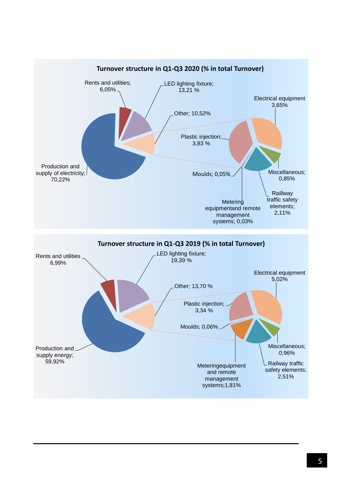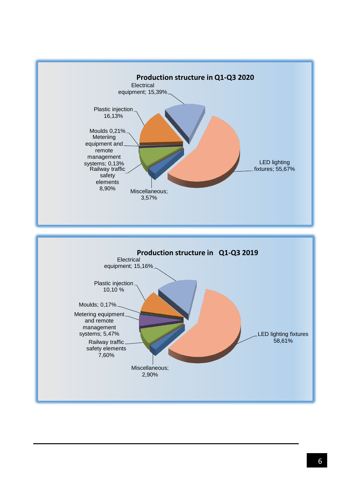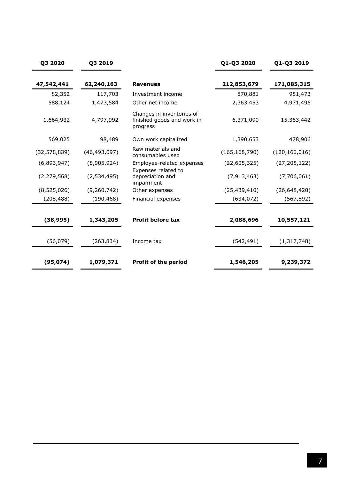| Q3 2020        | Q3 2019        |                                                                     | Q1-Q3 2020      | Q1-Q3 2019      |
|----------------|----------------|---------------------------------------------------------------------|-----------------|-----------------|
| 47,542,441     | 62,240,163     | <b>Revenues</b>                                                     | 212,853,679     | 171,085,315     |
| 82,352         | 117,703        | Investment income                                                   | 870,881         | 951,473         |
| 588,124        | 1,473,584      | Other net income                                                    | 2,363,453       | 4,971,496       |
| 1,664,932      | 4,797,992      | Changes in inventories of<br>finished goods and work in<br>progress | 6,371,090       | 15,363,442      |
| 569,025        | 98,489         | Own work capitalized                                                | 1,390,653       | 478,906         |
| (32, 578, 839) | (46, 493, 097) | Raw materials and<br>consumables used                               | (165, 168, 790) | (120, 166, 016) |
| (6,893,947)    | (8,905,924)    | Employee-related expenses                                           | (22,605,325)    | (27, 205, 122)  |
| (2, 279, 568)  | (2,534,495)    | Expenses related to<br>depreciation and<br>impairment               | (7, 913, 463)   | (7,706,061)     |
| (8,525,026)    | (9, 260, 742)  | Other expenses                                                      | (25, 439, 410)  | (26, 648, 420)  |
| (208, 488)     | (190, 468)     | Financial expenses                                                  | (634, 072)      | (567, 892)      |
| (38, 995)      | 1,343,205      | <b>Profit before tax</b>                                            | 2,088,696       | 10,557,121      |
| (56, 079)      | (263, 834)     | Income tax                                                          | (542, 491)      | (1, 317, 748)   |
| (95, 074)      | 1,079,371      | <b>Profit of the period</b>                                         | 1,546,205       | 9,239,372       |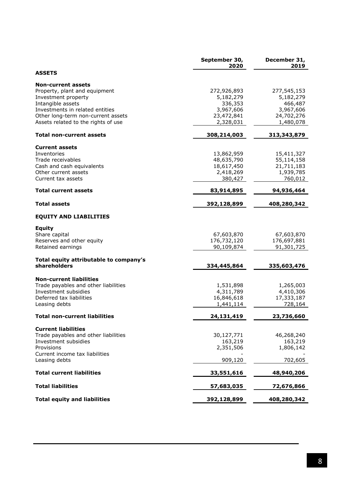|                                                 | September 30,<br>2020 | December 31,<br>2019 |
|-------------------------------------------------|-----------------------|----------------------|
| <b>ASSETS</b>                                   |                       |                      |
| <b>Non-current assets</b>                       |                       |                      |
| Property, plant and equipment                   | 272,926,893           | 277,545,153          |
| Investment property                             | 5,182,279             | 5,182,279            |
| Intangible assets                               | 336,353               | 466,487              |
| Investments in related entities                 | 3,967,606             | 3,967,606            |
| Other long-term non-current assets              | 23,472,841            | 24,702,276           |
| Assets related to the rights of use             | 2,328,031             | 1,480,078            |
| <b>Total non-current assets</b>                 | 308,214,003           | 313,343,879          |
| <b>Current assets</b>                           |                       |                      |
| Inventories                                     | 13,862,959            | 15,411,327           |
| Trade receivables                               | 48,635,790            | 55,114,158           |
| Cash and cash equivalents                       | 18,617,450            | 21,711,183           |
| Other current assets                            | 2,418,269             | 1,939,785            |
| Current tax assets                              | 380,427               | 760,012              |
| <b>Total current assets</b>                     | 83,914,895            | 94,936,464           |
| <b>Total assets</b>                             | 392,128,899           | 408,280,342          |
| <b>EQUITY AND LIABILITIES</b>                   |                       |                      |
| <b>Equity</b>                                   |                       |                      |
| Share capital                                   | 67,603,870            | 67,603,870           |
| Reserves and other equity                       | 176,732,120           | 176,697,881          |
| Retained earnings                               | 90,109,874            | 91,301,725           |
| Total equity attributable to company's          |                       |                      |
| shareholders                                    | 334,445,864           | 335,603,476          |
| <b>Non-current liabilities</b>                  |                       |                      |
| Trade payables and other liabilities            | 1,531,898             | 1,265,003            |
| Investment subsidies                            | 4,311,789             | 4,410,306            |
| Deferred tax liabilities                        | 16,846,618            | 17,333,187           |
| Leasing debts                                   | 1,441,114             | 728,164              |
| <b>Total non-current liabilities</b>            | 24,131,419            | 23,736,660           |
| <b>Current liabilities</b>                      |                       |                      |
| Trade payables and other liabilities            | 30,127,771            | 46,268,240           |
| Investment subsidies                            | 163,219               | 163,219              |
| Provisions                                      | 2,351,506             | 1,806,142            |
| Current income tax liabilities<br>Leasing debts | 909,120               | 702,605              |
|                                                 |                       |                      |
| <b>Total current liabilities</b>                | 33,551,616            | 48,940,206           |
| <b>Total liabilities</b>                        | 57,683,035            | 72,676,866           |
| <b>Total equity and liabilities</b>             | 392,128,899           | 408,280,342          |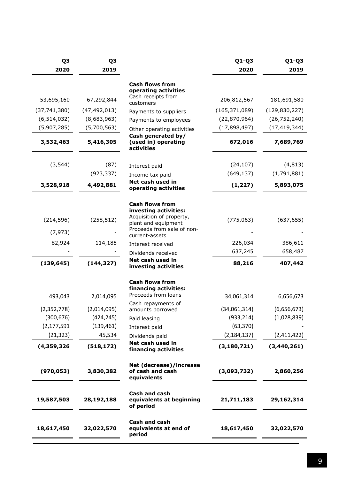| Q <sub>3</sub><br>2020 | Q3<br>2019     |                                                                                                                                                    | $Q1-Q3$<br>2020 | Q1-Q3<br>2019   |
|------------------------|----------------|----------------------------------------------------------------------------------------------------------------------------------------------------|-----------------|-----------------|
|                        |                | <b>Cash flows from</b><br>operating activities                                                                                                     |                 |                 |
| 53,695,160             | 67,292,844     | Cash receipts from<br>customers                                                                                                                    | 206,812,567     | 181,691,580     |
| (37, 741, 380)         | (47, 492, 013) | Payments to suppliers                                                                                                                              | (165, 371, 089) | (129, 830, 227) |
| (6, 514, 032)          | (8,683,963)    | Payments to employees                                                                                                                              | (22,870,964)    | (26, 752, 240)  |
| (5,907,285)            | (5,700,563)    | Other operating activities                                                                                                                         | (17,898,497)    | (17, 419, 344)  |
| 3,532,463              | 5,416,305      | Cash generated by/<br>(used in) operating<br>activities                                                                                            | 672,016         | 7,689,769       |
| (3, 544)               | (87)           | Interest paid                                                                                                                                      | (24, 107)       | (4, 813)        |
|                        | (923, 337)     | Income tax paid                                                                                                                                    | (649, 137)      | (1,791,881)     |
| 3,528,918              | 4,492,881      | Net cash used in<br>operating activities                                                                                                           | (1, 227)        | 5,893,075       |
| (214, 596)<br>(7, 973) | (258, 512)     | <b>Cash flows from</b><br>investing activities:<br>Acquisition of property,<br>plant and equipment<br>Proceeds from sale of non-<br>current-assets | (775, 063)      | (637, 655)      |
| 82,924                 | 114,185        | Interest received                                                                                                                                  | 226,034         | 386,611         |
|                        |                | Dividends received                                                                                                                                 | 637,245         | 658,487         |
| (139, 645)             | (144, 327)     | Net cash used in<br>investing activities                                                                                                           | 88,216          | 407,442         |
| 493,043                | 2,014,095      | <b>Cash flows from</b><br>financing activities:<br>Proceeds from loans                                                                             | 34,061,314      | 6,656,673       |
| (2,352,778)            | (2,014,095)    | Cash repayments of<br>amounts borrowed                                                                                                             | (34,061,314)    | (6,656,673)     |
| (300, 676)             | (424, 245)     | Paid leasing                                                                                                                                       | (933, 214)      | (1,028,839)     |
| (2, 177, 591)          | (139, 461)     | Interest paid                                                                                                                                      | (63, 370)       |                 |
| (21, 323)              | 45,534         | Dividends paid                                                                                                                                     | (2, 184, 137)   | (2,411,422)     |
| (4,359,326)            | (518, 172)     | Net cash used in<br>financing activities                                                                                                           | (3, 180, 721)   | (3,440,261)     |
| (970, 053)             | 3,830,382      | Net (decrease)/increase<br>of cash and cash<br>equivalents                                                                                         | (3,093,732)     | 2,860,256       |
| 19,587,503             | 28,192,188     | Cash and cash<br>equivalents at beginning<br>of period                                                                                             | 21,711,183      | 29,162,314      |
| 18,617,450             | 32,022,570     | Cash and cash<br>equivalents at end of<br>period                                                                                                   | 18,617,450      | 32,022,570      |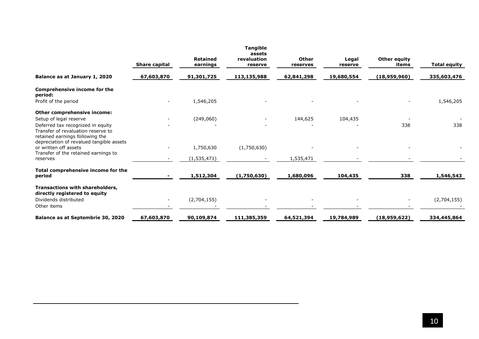|                                                                                                            | Share capital | <b>Retained</b><br>earnings | <b>Tangible</b><br>assets<br>revaluation<br>reserve | Other<br>reserves | Legal<br>reserve | <b>Other equity</b><br>items | <b>Total equity</b> |
|------------------------------------------------------------------------------------------------------------|---------------|-----------------------------|-----------------------------------------------------|-------------------|------------------|------------------------------|---------------------|
| Balance as at January 1, 2020                                                                              | 67,603,870    | 91,301,725                  | 113,135,988                                         | 62,841,298        | 19,680,554       | (18,959,960)                 | 335,603,476         |
| Comprehensive income for the<br>period:                                                                    |               |                             |                                                     |                   |                  |                              |                     |
| Profit of the period                                                                                       |               | 1,546,205                   |                                                     |                   |                  |                              | 1,546,205           |
| Other comprehensive income:                                                                                |               |                             |                                                     |                   |                  |                              |                     |
| Setup of legal reserve                                                                                     |               | (249,060)                   |                                                     | 144,625           | 104,435          |                              |                     |
| Deferred tax recognized in equity<br>Transfer of revaluation reserve to<br>retained earnings following the |               |                             |                                                     |                   |                  | 338                          | 338                 |
| depreciation of revalued tangible assets<br>or written off assets                                          |               | 1,750,630                   | (1,750,630)                                         |                   |                  |                              |                     |
| Transfer of the retained earnings to                                                                       |               |                             |                                                     |                   |                  |                              |                     |
| reserves                                                                                                   |               | (1, 535, 471)               |                                                     | 1,535,471         |                  |                              |                     |
| Total comprehensive income for the<br>period                                                               |               | 1,512,304                   | (1,750,630)                                         | 1,680,096         | 104,435          | 338                          | 1,546,543           |
| Transactions with shareholders,<br>directly registered to equity                                           |               |                             |                                                     |                   |                  |                              |                     |
| Dividends distributed<br>Other items                                                                       |               | (2,704,155)                 |                                                     |                   |                  |                              | (2,704,155)         |
| Balance as at Septembrie 30, 2020                                                                          | 67,603,870    | 90,109,874                  | 111,385,359                                         | 64,521,394        | 19,784,989       | (18,959,622)                 | 334,445,864         |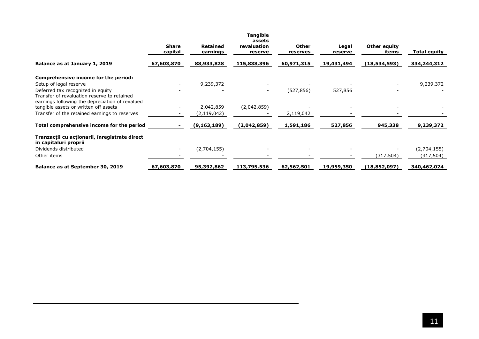|                                                                        | <b>Share</b><br>capital | <b>Retained</b><br>earnings | <b>Tangible</b><br>assets<br>revaluation<br>reserve | <b>Other</b><br>reserves | Legal<br>reserve | Other equity<br>items | Total equity |
|------------------------------------------------------------------------|-------------------------|-----------------------------|-----------------------------------------------------|--------------------------|------------------|-----------------------|--------------|
| Balance as at January 1, 2019                                          | 67,603,870              | 88,933,828                  | 115,838,396                                         | 60,971,315               | 19,431,494       | (18,534,593)          | 334,244,312  |
| Comprehensive income for the period:                                   |                         |                             |                                                     |                          |                  |                       |              |
| Setup of legal reserve                                                 |                         | 9,239,372                   |                                                     |                          |                  |                       | 9,239,372    |
| Deferred tax recognized in equity                                      |                         |                             | $\overline{\phantom{a}}$                            | (527, 856)               | 527,856          |                       |              |
| Transfer of revaluation reserve to retained                            |                         |                             |                                                     |                          |                  |                       |              |
| earnings following the depreciation of revalued                        |                         |                             |                                                     |                          |                  |                       |              |
| tangible assets or written off assets                                  |                         | 2,042,859                   | (2,042,859)                                         |                          |                  |                       |              |
| Transfer of the retained earnings to reserves                          |                         | (2, 119, 042)               |                                                     | 2,119,042                |                  |                       |              |
| Total comprehensive income for the period                              |                         | (9, 163, 189)               | (2,042,859)                                         | 1,591,186                | 527,856          | 945,338               | 9,239,372    |
| Tranzacții cu acționarii, înregistrate direct<br>in capitaluri proprii |                         |                             |                                                     |                          |                  |                       |              |
| Dividends distributed                                                  | $\sim$                  | (2,704,155)                 | $\overline{\phantom{a}}$                            |                          |                  |                       | (2,704,155)  |
| Other items                                                            |                         |                             |                                                     |                          |                  | (317, 504)            | (317, 504)   |
| Balance as at September 30, 2019                                       | 67,603,870              | 95,392,862                  | 113,795,536                                         | 62,562,501               | 19,959,350       | (18,852,097)          | 340,462,024  |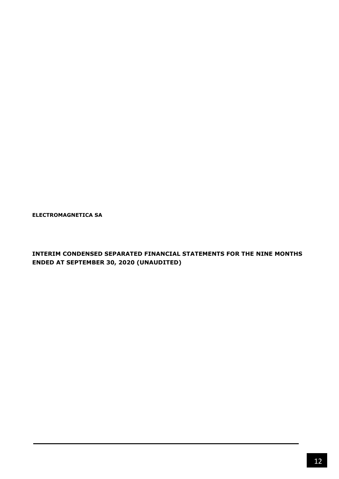**ELECTROMAGNETICA SA**

**INTERIM CONDENSED SEPARATED FINANCIAL STATEMENTS FOR THE NINE MONTHS ENDED AT SEPTEMBER 30, 2020 (UNAUDITED)**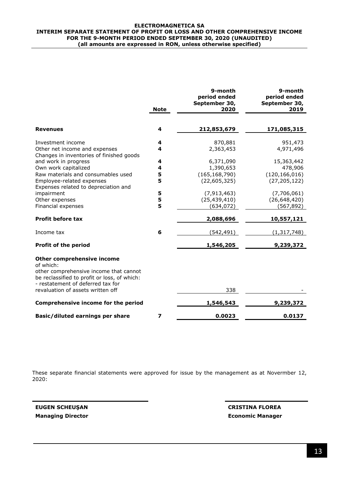#### **ELECTROMAGNETICA SA INTERIM SEPARATE STATEMENT OF PROFIT OR LOSS AND OTHER COMPREHENSIVE INCOME FOR THE 9-MONTH PERIOD ENDED SEPTEMBER 30, 2020 (UNAUDITED) (all amounts are expressed in RON, unless otherwise specified)**

|                                                                                                                             | <b>Note</b> | 9-month<br>period ended<br>September 30,<br>2020 | 9-month<br>period ended<br>September 30,<br>2019 |
|-----------------------------------------------------------------------------------------------------------------------------|-------------|--------------------------------------------------|--------------------------------------------------|
|                                                                                                                             |             |                                                  |                                                  |
| <b>Revenues</b>                                                                                                             | 4           | 212,853,679                                      | 171,085,315                                      |
| Investment income                                                                                                           | 4           | 870,881                                          | 951,473                                          |
| Other net income and expenses<br>Changes in inventories of finished goods                                                   | 4           | 2,363,453                                        | 4,971,496                                        |
| and work in progress                                                                                                        | 4           | 6,371,090                                        | 15,363,442                                       |
| Own work capitalized                                                                                                        | 4           | 1,390,653                                        | 478,906                                          |
| Raw materials and consumables used                                                                                          | 5           | (165, 168, 790)                                  | (120, 166, 016)                                  |
| Employee-related expenses<br>Expenses related to depreciation and                                                           | 5           | (22,605,325)                                     | (27, 205, 122)                                   |
| impairment                                                                                                                  | 5           | (7, 913, 463)                                    | (7,706,061)                                      |
| Other expenses                                                                                                              | 5           | (25, 439, 410)                                   | (26, 648, 420)                                   |
| Financial expenses                                                                                                          | 5           | (634, 072)                                       | (567, 892)                                       |
| <b>Profit before tax</b>                                                                                                    |             | 2,088,696                                        | 10,557,121                                       |
| Income tax                                                                                                                  | 6           | (542,491)                                        | (1, 317, 748)                                    |
| <b>Profit of the period</b>                                                                                                 |             | 1,546,205                                        | 9,239,372                                        |
| Other comprehensive income<br>of which:                                                                                     |             |                                                  |                                                  |
| other comprehensive income that cannot<br>be reclassified to profit or loss, of which:<br>- restatement of deferred tax for |             |                                                  |                                                  |
| revaluation of assets written off                                                                                           |             | 338                                              |                                                  |
| Comprehensive income for the period                                                                                         |             | 1,546,543                                        | 9,239,372                                        |
| Basic/diluted earnings per share                                                                                            | 7           | 0.0023                                           | 0.0137                                           |

These separate financial statements were approved for issue by the management as at Novermber 12, 2020:

**EUGEN SCHEUŞAN CRISTINA FLOREA**

**Managing Director Economic Manager**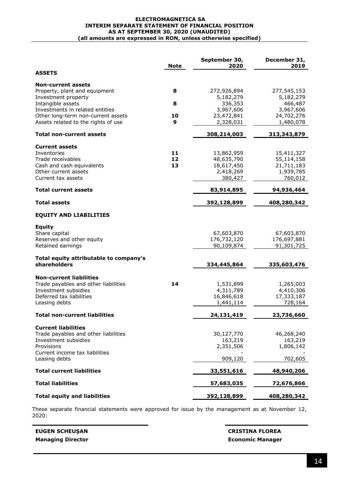#### **ELECTROMAGNETICA SA INTERIM SEPARATE STATEMENT OF FINANCIAL POSITION AS AT SEPTEMBER 30, 2020 (UNAUDITED) (all amounts are expressed in RON, unless otherwise specified)**

|                                                                                                                                             | <b>Note</b>    | September 30,<br>2020                                          | December 31,<br>2019                                           |
|---------------------------------------------------------------------------------------------------------------------------------------------|----------------|----------------------------------------------------------------|----------------------------------------------------------------|
| <b>ASSETS</b>                                                                                                                               |                |                                                                |                                                                |
| <b>Non-current assets</b><br>Property, plant and equipment<br>Investment property                                                           | 8              | 272,926,894<br>5,182,279                                       | 277,545,153<br>5,182,279                                       |
| Intangible assets<br>Investments in related entities<br>Other long-term non-current assets                                                  | 8<br>10        | 336,353<br>3,967,606<br>23,472,841                             | 466,487<br>3,967,606<br>24,702,276                             |
| Assets related to the rights of use                                                                                                         | 9              | 2,328,031                                                      | 1,480,078                                                      |
| <b>Total non-current assets</b>                                                                                                             |                | 308,214,003                                                    | 313,343,879                                                    |
| <b>Current assets</b><br>Inventories<br>Trade receivables<br>Cash and cash equivalents<br>Other current assets<br>Current tax assets        | 11<br>12<br>13 | 13,862,959<br>48,635,790<br>18,617,450<br>2,418,269<br>380,427 | 15,411,327<br>55,114,158<br>21,711,183<br>1,939,785<br>760,012 |
| <b>Total current assets</b>                                                                                                                 |                | 83,914,895                                                     | 94,936,464                                                     |
| <b>Total assets</b>                                                                                                                         |                | 392,128,899                                                    | 408,280,342                                                    |
| <b>EQUITY AND LIABILITIES</b>                                                                                                               |                |                                                                |                                                                |
| <b>Equity</b><br>Share capital<br>Reserves and other equity<br>Retained earnings                                                            |                | 67,603,870<br>176,732,120<br>90,109,874                        | 67,603,870<br>176,697,881<br>91,301,725                        |
| Total equity attributable to company's<br>shareholders                                                                                      |                | 334,445,864                                                    | 335,603,476                                                    |
| <b>Non-current liabilities</b><br>Trade payables and other liabilities<br>Investment subsidies<br>Deferred tax liabilities<br>Leasing debts | 14             | 1,531,899<br>4,311,789<br>16,846,618<br>1,441,114              | 1,265,003<br>4,410,306<br>17,333,187<br>728,164                |
| <b>Total non-current liabilities</b>                                                                                                        |                | 24,131,419                                                     | 23,736,660                                                     |
| <b>Current liabilities</b><br>Trade payables and other liabilities<br>Investment subsidies<br>Provisions<br>Current income tax liabilities  |                | 30,127,770<br>163,219<br>2,351,506                             | 46,268,240<br>163,219<br>1,806,142                             |
| Leasing debts                                                                                                                               |                | 909,120                                                        | 702,605                                                        |
| <b>Total current liabilities</b>                                                                                                            |                | 33,551,616                                                     | 48,940,206                                                     |
| <b>Total liabilities</b>                                                                                                                    |                | 57,683,035                                                     | 72,676,866                                                     |
| <b>Total equity and liabilities</b>                                                                                                         |                | 392,128,899                                                    | 408,280,342                                                    |

These separate financial statements were approved for issue by the management as at November 12, 2020:

**EUGEN SCHEUŞAN CRISTINA FLOREA Managing Director Economic Manager**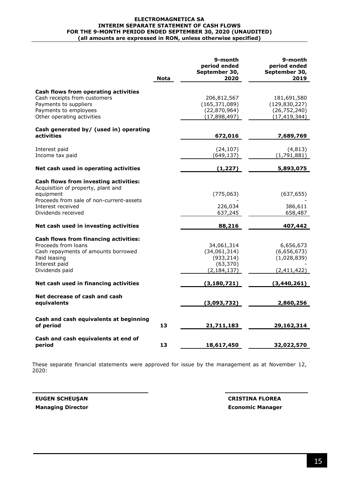#### **ELECTROMAGNETICA SA INTERIM SEPARATE STATEMENT OF CASH FLOWS FOR THE 9-MONTH PERIOD ENDED SEPTEMBER 30, 2020 (UNAUDITED) (all amounts are expressed in RON, unless otherwise specified)**

|                                                                                                                                                                                 | Nota | 9-month<br>period ended<br>September 30,<br>2020                       | 9-month<br>period ended<br>September 30,<br>2019                   |
|---------------------------------------------------------------------------------------------------------------------------------------------------------------------------------|------|------------------------------------------------------------------------|--------------------------------------------------------------------|
| Cash flows from operating activities<br>Cash receipts from customers<br>Payments to suppliers<br>Payments to employees<br>Other operating activities                            |      | 206,812,567<br>(165, 371, 089)<br>(22,870,964)<br>(17,898,497)         | 181,691,580<br>(129, 830, 227)<br>(26, 752, 240)<br>(17, 419, 344) |
| Cash generated by/ (used in) operating<br>activities                                                                                                                            |      | 672,016                                                                | 7,689,769                                                          |
| Interest paid<br>Income tax paid                                                                                                                                                |      | (24, 107)<br>(649, 137)                                                | (4, 813)<br>(1,791,881)                                            |
| Net cash used in operating activities                                                                                                                                           |      | (1, 227)                                                               | 5,893,075                                                          |
| Cash flows from investing activities:<br>Acquisition of property, plant and<br>equipment<br>Proceeds from sale of non-current-assets<br>Interest received<br>Dividends received |      | (775, 063)<br>226,034<br>637,245                                       | (637, 655)<br>386,611<br>658,487                                   |
| Net cash used in investing activities                                                                                                                                           |      | 88,216                                                                 | 407,442                                                            |
| <b>Cash flows from financing activities:</b><br>Proceeds from loans<br>Cash repayments of amounts borrowed<br>Paid leasing<br>Interest paid<br>Dividends paid                   |      | 34,061,314<br>(34,061,314)<br>(933, 214)<br>(63, 370)<br>(2, 184, 137) | 6,656,673<br>(6,656,673)<br>(1,028,839)<br>(2,411,422)             |
| Net cash used in financing activities                                                                                                                                           |      | (3, 180, 721)                                                          | (3, 440, 261)                                                      |
| Net decrease of cash and cash<br>equivalents                                                                                                                                    |      | (3,093,732)                                                            | 2,860,256                                                          |
| Cash and cash equivalents at beginning<br>of period                                                                                                                             | 13   | 21,711,183                                                             | 29,162,314                                                         |
| Cash and cash equivalents at end of<br>period                                                                                                                                   | 13   | 18,617,450                                                             | 32,022,570                                                         |

These separate financial statements were approved for issue by the management as at November 12, 2020:

**Managing Director Economic Manager**

**EUGEN SCHEUŞAN CRISTINA FLOREA**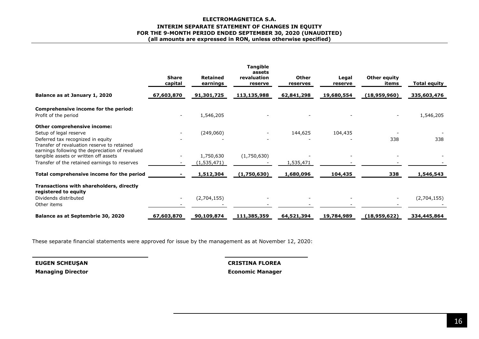#### **ELECTROMAGNETICA S.A. INTERIM SEPARATE STATEMENT OF CHANGES IN EQUITY FOR THE 9-MONTH PERIOD ENDED SEPTEMBER 30, 2020 (UNAUDITED) (all amounts are expressed in RON, unless otherwise specified)**

|                                                                                                                                     | <b>Share</b><br>capital | <b>Retained</b><br>earnings | <b>Tangible</b><br>assets<br>revaluation<br>reserve | Other<br>reserves | Legal<br>reserve | Other equity<br>items | <b>Total equity</b> |
|-------------------------------------------------------------------------------------------------------------------------------------|-------------------------|-----------------------------|-----------------------------------------------------|-------------------|------------------|-----------------------|---------------------|
| Balance as at January 1, 2020                                                                                                       | 67,603,870              | 91,301,725                  | 113,135,988                                         | 62,841,298        | 19,680,554       | (18,959,960)          | 335,603,476         |
| Comprehensive income for the period:<br>Profit of the period                                                                        |                         | 1,546,205                   |                                                     |                   |                  |                       | 1,546,205           |
| Other comprehensive income:                                                                                                         |                         |                             |                                                     |                   |                  |                       |                     |
| Setup of legal reserve                                                                                                              |                         | (249,060)                   | $\qquad \qquad -$                                   | 144,625           | 104,435          |                       |                     |
| Deferred tax recognized in equity<br>Transfer of revaluation reserve to retained<br>earnings following the depreciation of revalued |                         |                             |                                                     |                   |                  | 338                   | 338                 |
| tangible assets or written off assets                                                                                               |                         | 1,750,630                   | (1,750,630)                                         |                   |                  |                       |                     |
| Transfer of the retained earnings to reserves                                                                                       |                         | (1, 535, 471)               |                                                     | 1,535,471         |                  |                       |                     |
| Total comprehensive income for the period                                                                                           |                         | 1,512,304                   | (1,750,630)                                         | 1,680,096         | 104,435          | 338                   | 1,546,543           |
| Transactions with shareholders, directly<br>registered to equity                                                                    |                         |                             |                                                     |                   |                  |                       |                     |
| Dividends distributed<br>Other items                                                                                                |                         | (2,704,155)                 |                                                     |                   |                  |                       | (2,704,155)         |
| Balance as at Septembrie 30, 2020                                                                                                   | 67,603,870              | 90,109,874                  | 111,385,359                                         | 64,521,394        | 19,784,989       | (18,959,622)          | 334,445,864         |

These separate financial statements were approved for issue by the management as at November 12, 2020:

**Managing Director Economic Manager**

**EUGEN SCHEUŞAN CRISTINA FLOREA**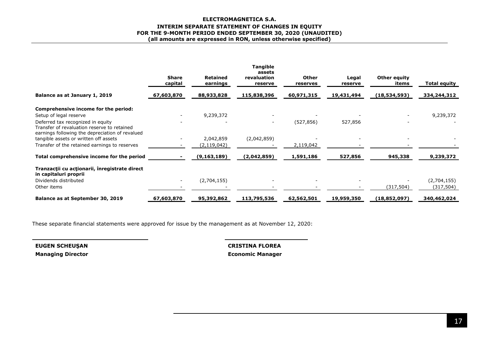#### **ELECTROMAGNETICA S.A. INTERIM SEPARATE STATEMENT OF CHANGES IN EQUITY FOR THE 9-MONTH PERIOD ENDED SEPTEMBER 30, 2020 (UNAUDITED) (all amounts are expressed in RON, unless otherwise specified)**

|                                                                        | <b>Share</b><br>capital | <b>Retained</b><br>earnings | <b>Tangible</b><br>assets<br>revaluation<br>reserve | <b>Other</b><br>reserves | Legal<br>reserve | Other equity<br>items | Total equity |
|------------------------------------------------------------------------|-------------------------|-----------------------------|-----------------------------------------------------|--------------------------|------------------|-----------------------|--------------|
| Balance as at January 1, 2019                                          | 67,603,870              | 88,933,828                  | 115,838,396                                         | 60,971,315               | 19,431,494       | (18, 534, 593)        | 334,244,312  |
| Comprehensive income for the period:                                   |                         |                             |                                                     |                          |                  |                       |              |
| Setup of legal reserve                                                 |                         | 9,239,372                   |                                                     |                          |                  |                       | 9,239,372    |
| Deferred tax recognized in equity                                      |                         |                             | $\overline{\phantom{a}}$                            | (527, 856)               | 527,856          |                       |              |
| Transfer of revaluation reserve to retained                            |                         |                             |                                                     |                          |                  |                       |              |
| earnings following the depreciation of revalued                        |                         |                             |                                                     |                          |                  |                       |              |
| tangible assets or written off assets                                  |                         | 2,042,859                   | (2,042,859)                                         |                          |                  |                       |              |
| Transfer of the retained earnings to reserves                          |                         | (2, 119, 042)               |                                                     | 2,119,042                |                  |                       |              |
| Total comprehensive income for the period                              |                         | (9, 163, 189)               | (2,042,859)                                         | 1,591,186                | 527,856          | 945,338               | 9,239,372    |
| Tranzacții cu acționarii, înregistrate direct<br>in capitaluri proprii |                         |                             |                                                     |                          |                  |                       |              |
| Dividends distributed                                                  |                         | (2,704,155)                 |                                                     |                          |                  |                       | (2,704,155)  |
| Other items                                                            |                         |                             |                                                     |                          |                  | (317, 504)            | (317, 504)   |
| Balance as at September 30, 2019                                       | 67,603,870              | 95,392,862                  | 113,795,536                                         | 62,562,501               | 19,959,350       | (18,852,097)          | 340,462,024  |

These separate financial statements were approved for issue by the management as at November 12, 2020:

**Managing Director Economic Manager** 

**EUGEN SCHEUŞAN CRISTINA FLOREA**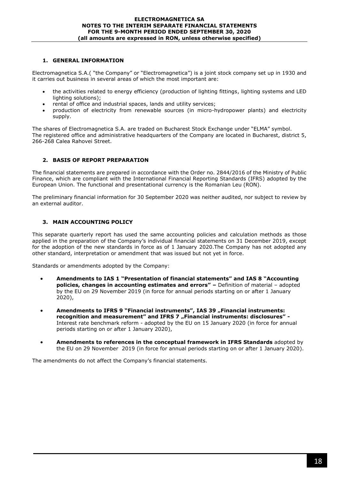# **1. GENERAL INFORMATION**

Electromagnetica S.A.( "the Company" or "Electromagnetica") is a joint stock company set up in 1930 and it carries out business in several areas of which the most important are:

- the activities related to energy efficiency (production of lighting fittings, lighting systems and LED lighting solutions);
- rental of office and industrial spaces, lands and utility services;
- production of electricity from renewable sources (in micro-hydropower plants) and electricity supply.

The shares of Electromagnetica S.A. are traded on Bucharest Stock Exchange under "ELMA" symbol. The registered office and administrative headquarters of the Company are located in Bucharest, district 5, 266-268 Calea Rahovei Street.

# **2. BASIS OF REPORT PREPARATION**

The financial statements are prepared in accordance with the Order no. 2844/2016 of the Ministry of Public Finance, which are compliant with the International Financial Reporting Standards (IFRS) adopted by the European Union. The functional and presentational currency is the Romanian Leu (RON).

The preliminary financial information for 30 September 2020 was neither audited, nor subject to review by an external auditor.

# **3. MAIN ACCOUNTING POLICY**

This separate quarterly report has used the same accounting policies and calculation methods as those applied in the preparation of the Company's individual financial statements on 31 December 2019, except for the adoption of the new standards in force as of 1 January 2020.The Company has not adopted any other standard, interpretation or amendment that was issued but not yet in force.

Standards or amendments adopted by the Company:

- **Amendments to IAS 1 "Presentation of financial statements" and IAS 8 "Accounting policies, changes in accounting estimates and errors" –** Definition of material – adopted by the EU on 29 November 2019 (in force for annual periods starting on or after 1 January 2020),
- **Amendments to IFRS 9 "Financial instruments", IAS 39 "Financial instruments: recognition and measurement" and IFRS 7 "Financial instruments: disclosures" -**Interest rate benchmark reform - adopted by the EU on 15 January 2020 (in force for annual periods starting on or after 1 January 2020),
- **Amendments to references in the conceptual framework in IFRS Standards** adopted by the EU on 29 November 2019 (in force for annual periods starting on or after 1 January 2020).

The amendments do not affect the Company's financial statements.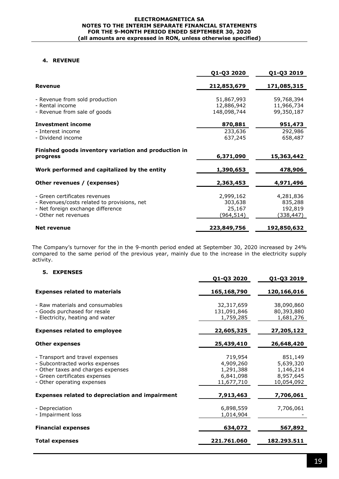#### **ELECTROMAGNETICA SA NOTES TO THE INTERIM SEPARATE FINANCIAL STATEMENTS FOR THE 9-MONTH PERIOD ENDED SEPTEMBER 30, 2020 (all amounts are expressed in RON, unless otherwise specified)**

## **4. REVENUE**

|                                                                                   | Q1-Q3 2020                              | Q1-Q3 2019                             |
|-----------------------------------------------------------------------------------|-----------------------------------------|----------------------------------------|
| <b>Revenue</b>                                                                    | 212,853,679                             | 171,085,315                            |
| - Revenue from sold production<br>- Rental income<br>- Revenue from sale of goods | 51,867,993<br>12,886,942<br>148,098,744 | 59,768,394<br>11,966,734<br>99,350,187 |
| <b>Investment income</b>                                                          | 870,881                                 | 951,473                                |
| - Interest income<br>- Dividend income                                            | 233,636<br>637,245                      | 292,986<br>658,487                     |
| Finished goods inventory variation and production in<br>progress                  | 6,371,090                               | 15,363,442                             |
| Work performed and capitalized by the entity                                      | 1,390,653                               | 478,906                                |
| Other revenues / (expenses)                                                       | 2,363,453                               | 4,971,496                              |
| - Green certificates revenues                                                     | 2,999,162                               | 4,281,836                              |
| - Revenues/costs related to provisions, net                                       | 303,638                                 | 835,288                                |
| - Net foreign exchange difference                                                 | 25,167                                  | 192,819                                |
| - Other net revenues                                                              | (964, 514)                              | (338,447)                              |
| <b>Net revenue</b>                                                                | 223,849,756                             | 192,850,632                            |

The Company's turnover for the in the 9-month period ended at September 30, 2020 increased by 24% compared to the same period of the previous year, mainly due to the increase in the electricity supply activity.

## **5. EXPENSES**

|                                                                                                                                                                        | Q1-Q3 2020                                                   | Q1-Q3 2019                                                   |
|------------------------------------------------------------------------------------------------------------------------------------------------------------------------|--------------------------------------------------------------|--------------------------------------------------------------|
| <b>Expenses related to materials</b>                                                                                                                                   | 165,168,790                                                  | 120,166,016                                                  |
| - Raw materials and consumables<br>- Goods purchased for resale<br>- Electricity, heating and water                                                                    | 32,317,659<br>131,091,846<br>1,759,285                       | 38,090,860<br>80,393,880<br>1,681,276                        |
| <b>Expenses related to employee</b>                                                                                                                                    | 22,605,325                                                   | 27,205,122                                                   |
| <b>Other expenses</b>                                                                                                                                                  | 25,439,410                                                   | 26,648,420                                                   |
| - Transport and travel expenses<br>- Subcontracted works expenses<br>- Other taxes and charges expenses<br>- Green certificates expenses<br>- Other operating expenses | 719,954<br>4,909,260<br>1,291,388<br>6,841,098<br>11,677,710 | 851,149<br>5,639,320<br>1,146,214<br>8,957,645<br>10,054,092 |
| <b>Expenses related to depreciation and impairment</b>                                                                                                                 | 7,913,463                                                    | 7,706,061                                                    |
| - Depreciation<br>- Impairment loss                                                                                                                                    | 6,898,559<br>1,014,904                                       | 7,706,061                                                    |
| <b>Financial expenses</b>                                                                                                                                              | 634,072                                                      | 567,892                                                      |
| <b>Total expenses</b>                                                                                                                                                  | 221.761.060                                                  | 182.293.511                                                  |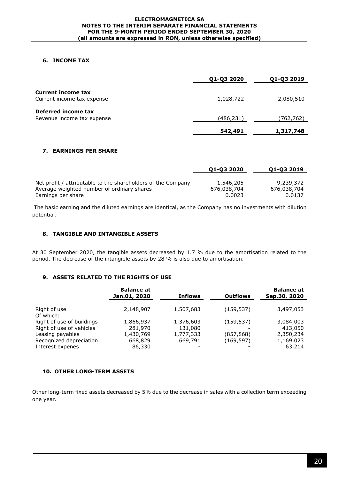## **6. INCOME TAX**

|                            | Q1-Q3 2020 | Q1-Q3 2019 |
|----------------------------|------------|------------|
| <b>Current income tax</b>  |            |            |
| Current income tax expense | 1,028,722  | 2,080,510  |
| Deferred income tax        |            |            |
| Revenue income tax expense | (486,231)  | (762,762)  |
|                            | 542,491    | 1,317,748  |

## **7. EARNINGS PER SHARE**

|                                                              | 01-03 2020  | 01-03 2019  |
|--------------------------------------------------------------|-------------|-------------|
|                                                              |             |             |
| Net profit / attributable to the shareholders of the Company | 1,546,205   | 9,239,372   |
| Average weighted number of ordinary shares                   | 676,038,704 | 676,038,704 |
| Earnings per share                                           | 0.0023      | 0.0137      |

The basic earning and the diluted earnings are identical, as the Company has no investments with dilution potential.

#### **8. TANGIBLE AND INTANGIBLE ASSETS**

At 30 September 2020, the tangible assets decreased by 1.7 % due to the amortisation related to the period. The decrease of the intangible assets by 28 % is also due to amortisation.

# **9. ASSETS RELATED TO THE RIGHTS OF USE**

|                                              | <b>Balance at</b><br>Jan.01, 2020 | <b>Inflows</b>       | <b>Outflows</b> | <b>Balance at</b><br>Sep.30, 2020 |
|----------------------------------------------|-----------------------------------|----------------------|-----------------|-----------------------------------|
| Right of use                                 | 2,148,907                         | 1,507,683            | (159, 537)      | 3,497,053                         |
| Of which:<br>Right of use of buildings       | 1,866,937                         | 1,376,603            | (159, 537)      | 3,084,003                         |
| Right of use of vehicles<br>Leasing payables | 281,970<br>1,430,769              | 131,080<br>1,777,333 | (857, 868)      | 413,050<br>2,350,234              |
| Recognized depreciation<br>Interest expenes  | 668,829<br>86,330                 | 669,791              | (169,597)       | 1,169,023<br>63,214               |

#### **10. OTHER LONG-TERM ASSETS**

Other long-term fixed assets decreased by 5% due to the decrease in sales with a collection term exceeding one year.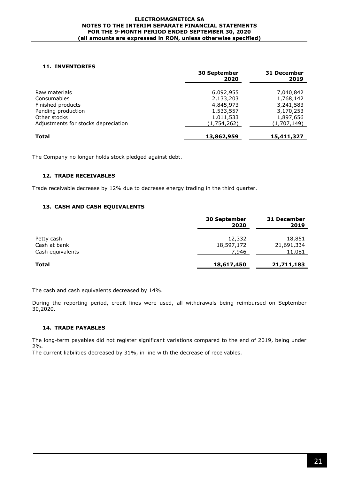#### **ELECTROMAGNETICA SA NOTES TO THE INTERIM SEPARATE FINANCIAL STATEMENTS FOR THE 9-MONTH PERIOD ENDED SEPTEMBER 30, 2020 (all amounts are expressed in RON, unless otherwise specified)**

## **11. INVENTORIES**

|                                     | <b>30 September</b><br>2020 | 31 December<br>2019 |  |
|-------------------------------------|-----------------------------|---------------------|--|
| Raw materials                       | 6,092,955                   | 7,040,842           |  |
| Consumables                         | 2,133,203                   | 1,768,142           |  |
| Finished products                   | 4,845,973                   | 3,241,583           |  |
| Pending production                  | 1,533,557                   | 3,170,253           |  |
| Other stocks                        | 1,011,533                   | 1,897,656           |  |
| Adjustments for stocks depreciation | (1,754,262)                 | (1,707,149)         |  |
| <b>Total</b>                        | 13,862,959                  | 15,411,327          |  |

The Company no longer holds stock pledged against debt.

## **12. TRADE RECEIVABLES**

Trade receivable decrease by 12% due to decrease energy trading in the third quarter.

## **13. CASH AND CASH EQUIVALENTS**

|                  | <b>30 September</b><br>2020 | 31 December<br>2019 |
|------------------|-----------------------------|---------------------|
| Petty cash       | 12,332                      | 18,851              |
| Cash at bank     | 18,597,172                  | 21,691,334          |
| Cash equivalents | 7,946                       | 11,081              |
| <b>Total</b>     | 18,617,450                  | 21,711,183          |

The cash and cash equivalents decreased by 14%.

During the reporting period, credit lines were used, all withdrawals being reimbursed on September 30,2020.

## **14. TRADE PAYABLES**

The long-term payables did not register significant variations compared to the end of 2019, being under 2%. The current liabilities decreased by 31%, in line with the decrease of receivables.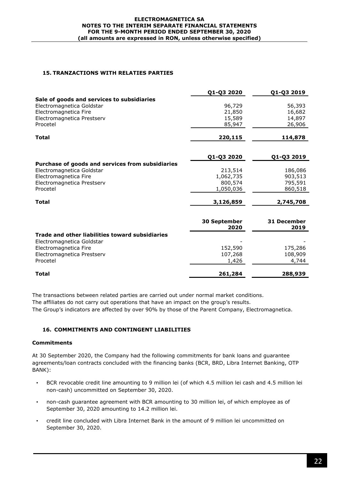## **15. TRANZACTIONS WITH RELATIES PARTIES**

|                                                  | Q1-Q3 2020           | Q1-Q3 2019          |
|--------------------------------------------------|----------------------|---------------------|
| Sale of goods and services to subsidiaries       |                      |                     |
| Electromagnetica Goldstar                        | 96,729               | 56,393              |
| Electromagnetica Fire                            | 21,850               | 16,682              |
| Electromagnetica Prestserv                       | 15,589               | 14,897              |
| Procetel                                         | 85,947               | 26,906              |
| <b>Total</b>                                     | 220,115              | 114,878             |
|                                                  | Q1-Q3 2020           | Q1-Q3 2019          |
| Purchase of goods and services from subsidiaries |                      |                     |
| Electromagnetica Goldstar                        | 213,514              | 186,086             |
| Electromagnetica Fire                            | 1,062,735            | 903,513             |
| Electromagnetica Prestserv                       | 800,574              | 795,591             |
| Procetel                                         | 1,050,036            | 860,518             |
| <b>Total</b>                                     | 3,126,859            | 2,745,708           |
|                                                  | 30 September<br>2020 | 31 December<br>2019 |
|                                                  |                      |                     |
| Trade and other liabilities toward subsidiaries  |                      |                     |
| Electromagnetica Goldstar                        |                      |                     |
| Electromagnetica Fire                            | 152,590              | 175,286             |
| Electromagnetica Prestserv<br>Procetel           | 107,268              | 108,909             |
|                                                  | 1,426                | 4,744               |
| Total                                            | 261,284              | 288,939             |

The transactions between related parties are carried out under normal market conditions. The affiliates do not carry out operations that have an impact on the group's results. The Group's indicators are affected by over 90% by those of the Parent Company, Electromagnetica.

# **16. COMMITMENTS AND CONTINGENT LIABILITIES**

## **Commitments**

At 30 September 2020, the Company had the following commitments for bank loans and guarantee agreements/loan contracts concluded with the financing banks (BCR, BRD, Libra Internet Banking, OTP BANK):

- BCR revocable credit line amounting to 9 million lei (of which 4.5 million lei cash and 4.5 million lei non-cash) uncommitted on September 30, 2020.
- non-cash guarantee agreement with BCR amounting to 30 million lei, of which employee as of September 30, 2020 amounting to 14.2 million lei.
- credit line concluded with Libra Internet Bank in the amount of 9 million lei uncommitted on September 30, 2020.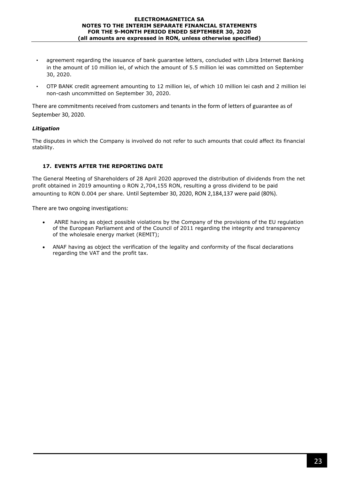- agreement regarding the issuance of bank guarantee letters, concluded with Libra Internet Banking in the amount of 10 million lei, of which the amount of 5.5 million lei was committed on September 30, 2020.
- OTP BANK credit agreement amounting to 12 million lei, of which 10 million lei cash and 2 million lei non-cash uncommitted on September 30, 2020.

There are commitments received from customers and tenants in the form of letters of guarantee as of September 30, 2020.

# *Litigation*

The disputes in which the Company is involved do not refer to such amounts that could affect its financial stability.

## **17. EVENTS AFTER THE REPORTING DATE**

The General Meeting of Shareholders of 28 April 2020 approved the distribution of dividends from the net profit obtained in 2019 amounting o RON 2,704,155 RON, resulting a gross dividend to be paid amounting to RON 0.004 per share. Until September 30, 2020, RON 2,184,137 were paid (80%).

There are two ongoing investigations:

- ANRE having as object possible violations by the Company of the provisions of the EU regulation of the European Parliament and of the Council of 2011 regarding the integrity and transparency of the wholesale energy market (REMIT);
- ANAF having as object the verification of the legality and conformity of the fiscal declarations regarding the VAT and the profit tax.